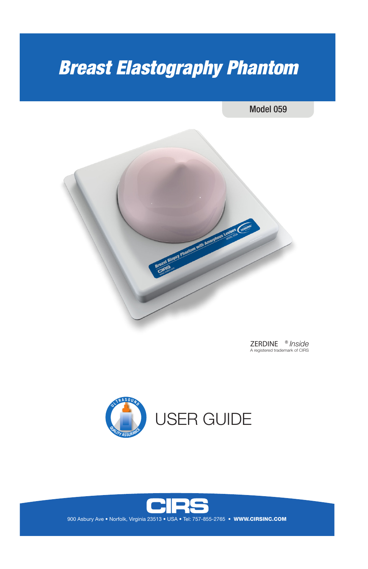# *Breast Elastography Phantom*

Model 059



ZERDINE ® *Inside* A registered trademark of CIRS





900 Asbury Ave . Norfolk, Virginia 23513 . USA . Tel: 757-855-2765 . WWW.CIRSINC.COM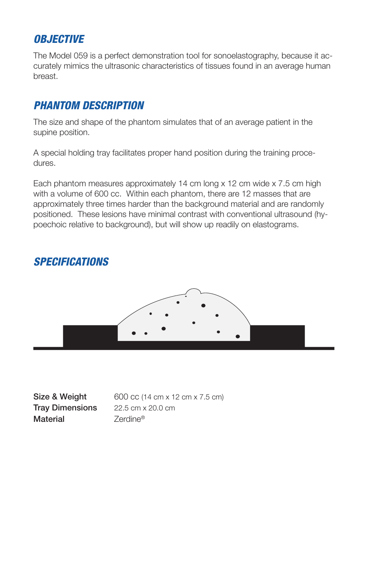# *OBJECTIVE*

The Model 059 is a perfect demonstration tool for sonoelastography, because it accurately mimics the ultrasonic characteristics of tissues found in an average human breast.

## *PHANTOM DESCRIPTION*

The size and shape of the phantom simulates that of an average patient in the supine position.

A special holding tray facilitates proper hand position during the training procedures.

Each phantom measures approximately 14 cm long x 12 cm wide x 7.5 cm high with a volume of 600 cc. Within each phantom, there are 12 masses that are approximately three times harder than the background material and are randomly positioned. These lesions have minimal contrast with conventional ultrasound (hypoechoic relative to background), but will show up readily on elastograms.

## *SPECIFICATIONS*



Tray Dimensions 22.5 cm x 20.0 cm Material **Zerdine®** 

**Size & Weight** 600 cc (14 cm x 12 cm x 7.5 cm)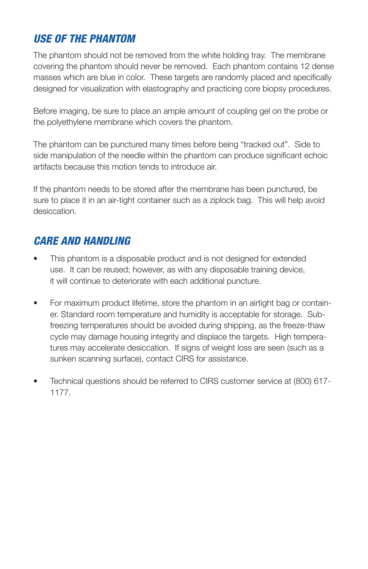# *USE OF THE PHANTOM*

The phantom should not be removed from the white holding tray. The membrane covering the phantom should never be removed. Each phantom contains 12 dense masses which are blue in color. These targets are randomly placed and specifically designed for visualization with elastography and practicing core biopsy procedures.

Before imaging, be sure to place an ample amount of coupling gel on the probe or the polyethylene membrane which covers the phantom.

The phantom can be punctured many times before being "tracked out". Side to side manipulation of the needle within the phantom can produce significant echoic artifacts because this motion tends to introduce air.

If the phantom needs to be stored after the membrane has been punctured, be sure to place it in an air-tight container such as a ziplock bag. This will help avoid desiccation.

# *CARE AND HANDLING*

- This phantom is a disposable product and is not designed for extended use. It can be reused; however, as with any disposable training device, it will continue to deteriorate with each additional puncture.
- For maximum product lifetime, store the phantom in an airtight bag or container. Standard room temperature and humidity is acceptable for storage. Subfreezing temperatures should be avoided during shipping, as the freeze-thaw cycle may damage housing integrity and displace the targets. High temperatures may accelerate desiccation. If signs of weight loss are seen (such as a sunken scanning surface), contact CIRS for assistance.
- Technical questions should be referred to CIRS customer service at (800) 617- 1177.